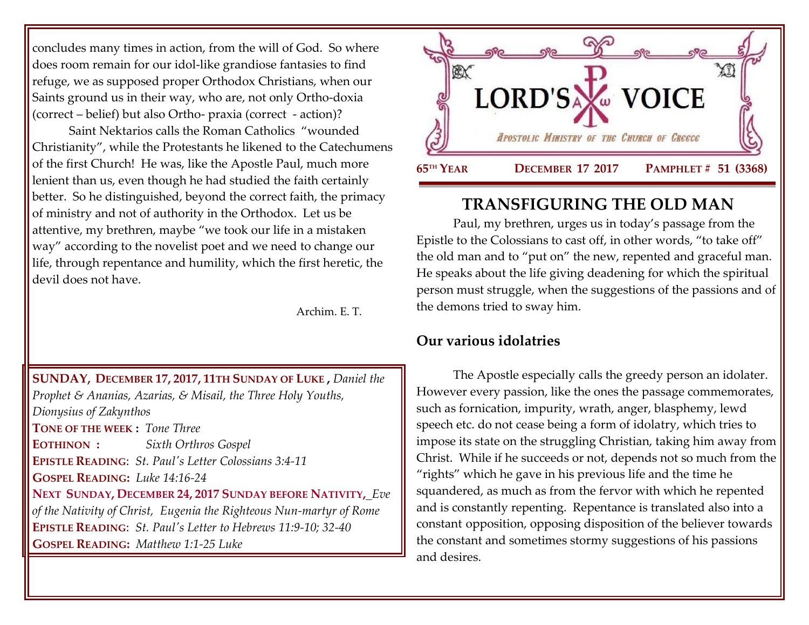concludes many times in action, from the will of God. So where does room remain for our idol-like grandiose fantasies to find refuge, we as supposed proper Orthodox Christians, when our Saints ground us in their way, who are, not only Ortho-doxia (correct – belief) but also Ortho- praxia (correct - action)?

Saint Nektarios calls the Roman Catholics "wounded Christianity", while the Protestants he likened to the Catechumens of the first Church! He was, like the Apostle Paul, much more lenient than us, even though he had studied the faith certainly better. So he distinguished, beyond the correct faith, the primacy of ministry and not of authority in the Orthodox. Let us be attentive, my brethren, maybe "we took our life in a mistaken way" according to the novelist poet and we need to change our life, through repentance and humility, which the first heretic, the devil does not have.

Archim. E. T.

**SUNDAY, DECEMBER 17, 2017, 11TH S[UNDAY OF](https://www.goarch.org/chapel/saints?contentid=1111&PCode=11LS&D=S&date=12/17/2017) LUKE ,** *Daniel the Prophet & Ananias, Azarias, & Misail, the Three Holy Youths, [Dionysius of Zakynthos](https://www.goarch.org/chapel/saints?contentid=342)* **TONE OF THE WEEK :** *Tone Three* **EOTHINON :** *Sixth Orthros Gospel* **EPISTLE READING**: *[St. Paul's Letter Colossians](https://www.goarch.org/chapel/lectionary?type=epistle&code=27&event=940&date=5/28/2017) 3:4-11* **GOSPEL R[EADING](https://www.goarch.org/chapel/lectionary?type=epistle&code=27&event=940&date=5/28/2017):** *Luke 14:16-24* **NEXT SUNDAY, DECEMBER 24, 2017 SUNDAY BEFORE NATIVITY,** *Eve of the Nativity of Christ, [Eugenia the Righteous Nun-martyr of Rome](https://www.goarch.org/chapel/saints?contentid=351)* **EPISTLE READING**: *St. Paul's Letter [to Hebrews 11:9-10; 32-40](https://www.goarch.org/chapel/lectionary?type=epistle&code=27&event=940&date=5/28/2017)* **GOSPEL READING:** *[Matthew 1:1-25](https://www.goarch.org/chapel/lectionary?type=epistle&code=27&event=940&date=5/28/2017) Luke* 



# **TRANSFIGURING THE OLD MAN**

Paul, my brethren, urges us in today's passage from the Epistle to the Colossians to cast off, in other words, "to take off" the old man and to "put on" the new, repented and graceful man. He speaks about the life giving deadening for which the spiritual person must struggle, when the suggestions of the passions and of the demons tried to sway him.

# **Our various idolatries**

The Apostle especially calls the greedy person an idolater. However every passion, like the ones the passage commemorates, such as fornication, impurity, wrath, anger, blasphemy, lewd speech etc. do not cease being a form of idolatry, which tries to impose its state on the struggling Christian, taking him away from Christ. While if he succeeds or not, depends not so much from the "rights" which he gave in his previous life and the time he squandered, as much as from the fervor with which he repented and is constantly repenting. Repentance is translated also into a constant opposition, opposing disposition of the believer towards the constant and sometimes stormy suggestions of his passions and desires.